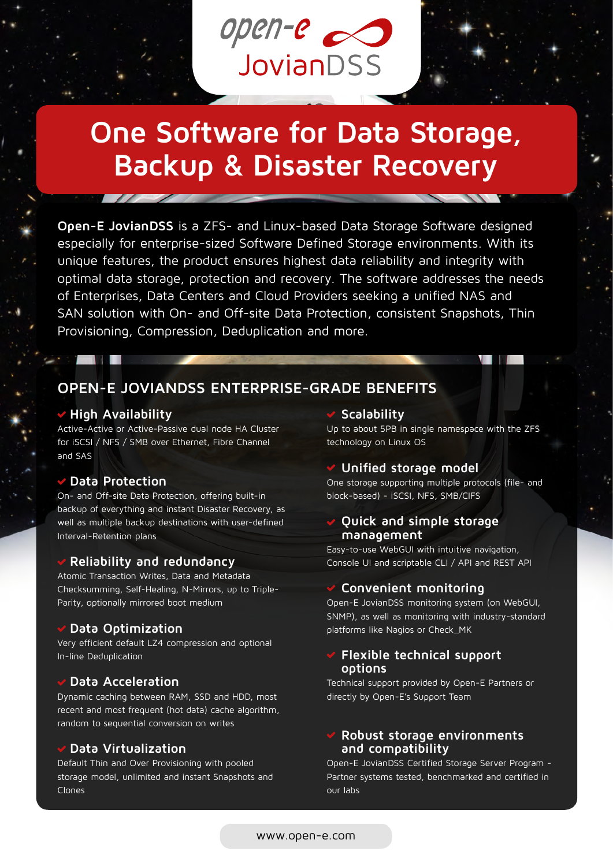

# **One Software for Data Storage, Backup & Disaster Recovery**

**Open-E JovianDSS** is a ZFS- and Linux-based Data Storage Software designed especially for enterprise-sized Software Defined Storage environments. With its unique features, the product ensures highest data reliability and integrity with optimal data storage, protection and recovery. The software addresses the needs of Enterprises, Data Centers and Cloud Providers seeking a unified NAS and SAN solution with On- and Off-site Data Protection, consistent Snapshots, Thin Provisioning, Compression, Deduplication and more.

### **OPEN-E JOVIANDSS ENTERPRISE-GRADE BENEFITS**

#### **High Availability**

Active-Active or Active-Passive dual node HA Cluster for iSCSI / NFS / SMB over Ethernet, Fibre Channel and SAS

#### **Data Protection**

On- and Off-site Data Protection, offering built-in backup of everything and instant Disaster Recovery, as well as multiple backup destinations with user-defined Interval-Retention plans

#### **Reliability and redundancy**

Atomic Transaction Writes, Data and Metadata Checksumming, Self-Healing, N-Mirrors, up to Triple-Parity, optionally mirrored boot medium

#### **Data Optimization**

Very efficient default LZ4 compression and optional In-line Deduplication

#### **Data Acceleration**

Dynamic caching between RAM, SSD and HDD, most recent and most frequent (hot data) cache algorithm, random to sequential conversion on writes

#### **Data Virtualization**

Default Thin and Over Provisioning with pooled storage model, unlimited and instant Snapshots and Clones

#### **Scalability**

Up to about 5PB in single namespace with the ZFS technology on Linux OS

#### **Unified storage model**

One storage supporting multiple protocols (file- and block-based) - iSCSI, NFS, SMB/CIFS

#### **Quick and simple storage management**

Easy-to-use WebGUI with intuitive navigation, Console UI and scriptable CLI / API and REST API

#### **Convenient monitoring**

Open-E JovianDSS monitoring system (on WebGUI, SNMP), as well as monitoring with industry-standard platforms like Nagios or Check\_MK

#### **Flexible technical support options**

Technical support provided by Open-E Partners or directly by Open-E's Support Team

#### **Robust storage environments and compatibility**

Open-E JovianDSS Certified Storage Server Program - Partner systems tested, benchmarked and certified in our labs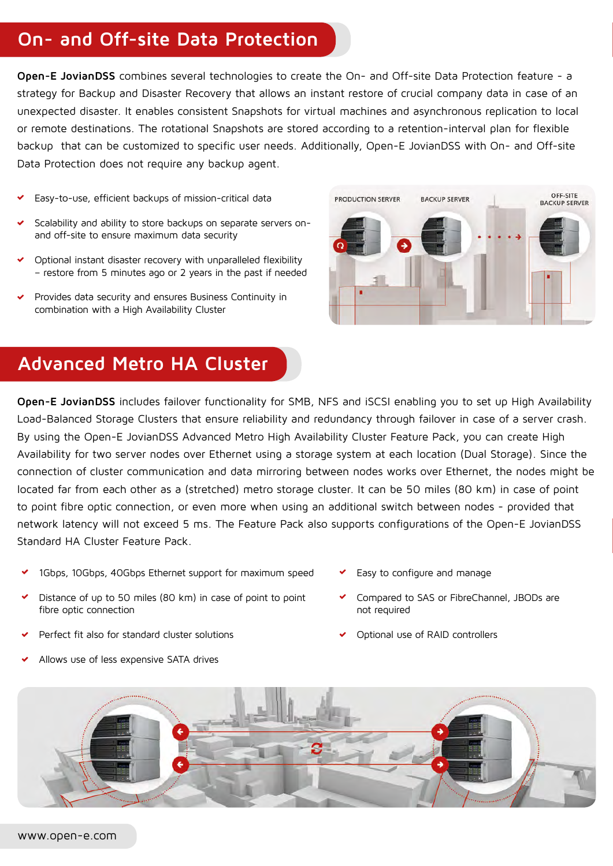## **On- and Off-site Data Protection**

**Open-E JovianDSS** combines several technologies to create the On- and Off-site Data Protection feature - a strategy for Backup and Disaster Recovery that allows an instant restore of crucial company data in case of an unexpected disaster. It enables consistent Snapshots for virtual machines and asynchronous replication to local or remote destinations. The rotational Snapshots are stored according to a retention-interval plan for flexible backup that can be customized to specific user needs. Additionally, Open-E JovianDSS with On- and Off-site Data Protection does not require any backup agent.

- Easy-to-use, efficient backups of mission-critical data
- Scalability and ability to store backups on separate servers onand off-site to ensure maximum data security
- Optional instant disaster recovery with unparalleled flexibility – restore from 5 minutes ago or 2 years in the past if needed
- Provides data security and ensures Business Continuity in combination with a High Availability Cluster



# **Advanced Metro HA Cluster**

**Open-E JovianDSS** includes failover functionality for SMB, NFS and iSCSI enabling you to set up High Availability Load-Balanced Storage Clusters that ensure reliability and redundancy through failover in case of a server crash. By using the Open-E JovianDSS Advanced Metro High Availability Cluster Feature Pack, you can create High Availability for two server nodes over Ethernet using a storage system at each location (Dual Storage). Since the connection of cluster communication and data mirroring between nodes works over Ethernet, the nodes might be located far from each other as a (stretched) metro storage cluster. It can be 50 miles (80 km) in case of point to point fibre optic connection, or even more when using an additional switch between nodes - provided that network latency will not exceed 5 ms. The Feature Pack also supports configurations of the Open-E JovianDSS Standard HA Cluster Feature Pack.

- 1Gbps, 10Gbps, 40Gbps Ethernet support for maximum speed
- Distance of up to 50 miles (80 km) in case of point to point fibre optic connection
- Perfect fit also for standard cluster solutions
- Allows use of less expensive SATA drives
- Easy to configure and manage
- Compared to SAS or FibreChannel, JBODs are not required
- Optional use of RAID controllers

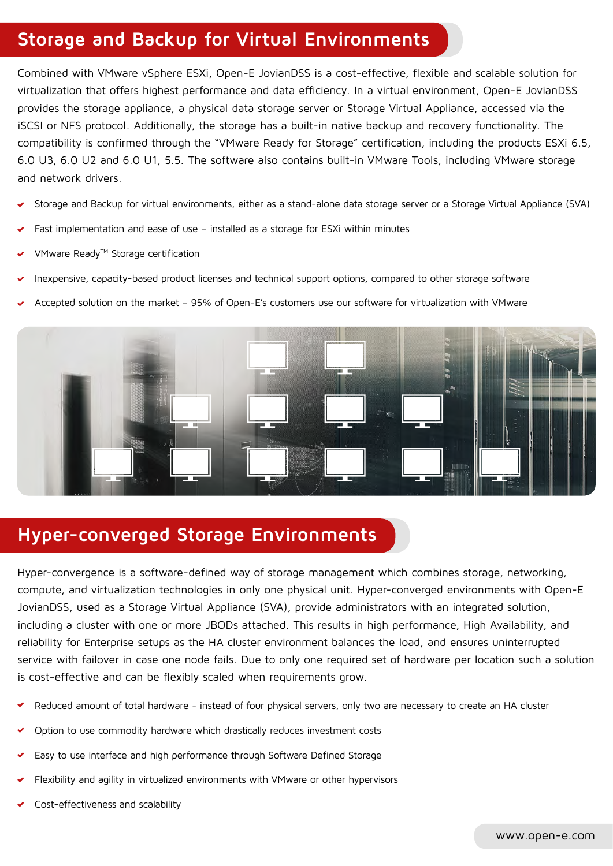# **Storage and Backup for Virtual Environments**

Combined with VMware vSphere ESXi, Open-E JovianDSS is a cost-effective, flexible and scalable solution for virtualization that offers highest performance and data efficiency. In a virtual environment, Open-E JovianDSS provides the storage appliance, a physical data storage server or Storage Virtual Appliance, accessed via the iSCSI or NFS protocol. Additionally, the storage has a built-in native backup and recovery functionality. The compatibility is confirmed through the "VMware Ready for Storage" certification, including the products ESXi 6.5, 6.0 U3, 6.0 U2 and 6.0 U1, 5.5. The software also contains built-in VMware Tools, including VMware storage and network drivers.

- Storage and Backup for virtual environments, either as a stand-alone data storage server or a Storage Virtual Appliance (SVA)
- Fast implementation and ease of use installed as a storage for ESXi within minutes
- VMware Ready™ Storage certification
- Inexpensive, capacity-based product licenses and technical support options, compared to other storage software
- Accepted solution on the market 95% of Open-E's customers use our software for virtualization with VMware



### **Hyper-converged Storage Environments**

Hyper-convergence is a software-defined way of storage management which combines storage, networking, compute, and virtualization technologies in only one physical unit. Hyper-converged environments with Open-E JovianDSS, used as a Storage Virtual Appliance (SVA), provide administrators with an integrated solution, including a cluster with one or more JBODs attached. This results in high performance, High Availability, and reliability for Enterprise setups as the HA cluster environment balances the load, and ensures uninterrupted service with failover in case one node fails. Due to only one required set of hardware per location such a solution is cost-effective and can be flexibly scaled when requirements grow.

- Reduced amount of total hardware instead of four physical servers, only two are necessary to create an HA cluster
- Option to use commodity hardware which drastically reduces investment costs
- Easy to use interface and high performance through Software Defined Storage
- Flexibility and agility in virtualized environments with VMware or other hypervisors
- Cost-effectiveness and scalability